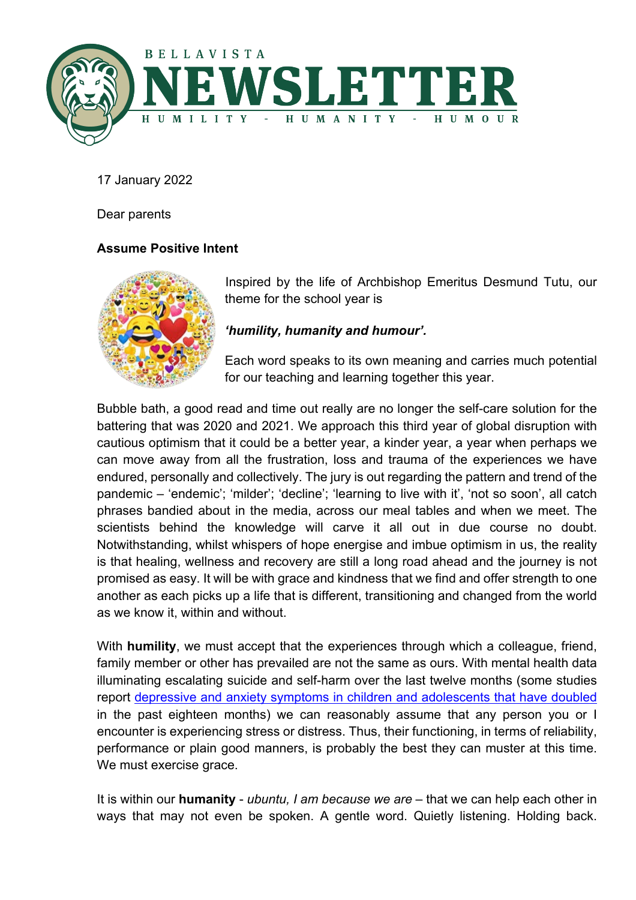

17 January 2022

Dear parents

# **Assume Positive Intent**



Inspired by the life of Archbishop Emeritus Desmund Tutu, our theme for the school year is

# *'humility, humanity and humour'.*

Each word speaks to its own meaning and carries much potential for our teaching and learning together this year.

Bubble bath, a good read and time out really are no longer the self-care solution for the battering that was 2020 and 2021. We approach this third year of global disruption with cautious optimism that it could be a better year, a kinder year, a year when perhaps we can move away from all the frustration, loss and trauma of the experiences we have endured, personally and collectively. The jury is out regarding the pattern and trend of the pandemic – 'endemic'; 'milder'; 'decline'; 'learning to live with it', 'not so soon', all catch phrases bandied about in the media, across our meal tables and when we meet. The scientists behind the knowledge will carve it all out in due course no doubt. Notwithstanding, whilst whispers of hope energise and imbue optimism in us, the reality is that healing, wellness and recovery are still a long road ahead and the journey is not promised as easy. It will be with grace and kindness that we find and offer strength to one another as each picks up a life that is different, transitioning and changed from the world as we know it, within and without.

With **humility**, we must accept that the experiences through which a colleague, friend, family member or other has prevailed are not the same as ours. With mental health data illuminating escalating suicide and self-harm over the last twelve months (some studies report depressive and anxiety symptoms in children and adolescents that have doubled in the past eighteen months) we can reasonably assume that any person you or I encounter is experiencing stress or distress. Thus, their functioning, in terms of reliability, performance or plain good manners, is probably the best they can muster at this time. We must exercise grace.

It is within our **humanity** - *ubuntu, I am because we are* – that we can help each other in ways that may not even be spoken. A gentle word. Quietly listening. Holding back.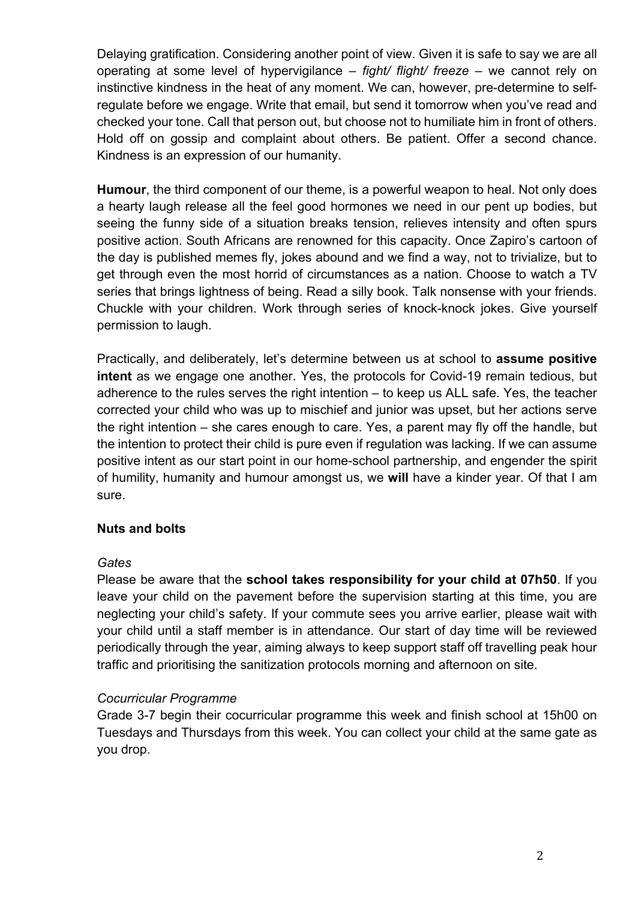Delaying gratification. Considering another point of view. Given it is safe to say we are all operating at some level of hypervigilance – *fight/ flight/ freeze* – we cannot rely on instinctive kindness in the heat of any moment. We can, however, pre-determine to selfregulate before we engage. Write that email, but send it tomorrow when you've read and checked your tone. Call that person out, but choose not to humiliate him in front of others. Hold off on gossip and complaint about others. Be patient. Offer a second chance. Kindness is an expression of our humanity.

**Humour**, the third component of our theme, is a powerful weapon to heal. Not only does a hearty laugh release all the feel good hormones we need in our pent up bodies, but seeing the funny side of a situation breaks tension, relieves intensity and often spurs positive action. South Africans are renowned for this capacity. Once Zapiro's cartoon of the day is published memes fly, jokes abound and we find a way, not to trivialize, but to get through even the most horrid of circumstances as a nation. Choose to watch a TV series that brings lightness of being. Read a silly book. Talk nonsense with your friends. Chuckle with your children. Work through series of knock-knock jokes. Give yourself permission to laugh.

Practically, and deliberately, let's determine between us at school to **assume positive intent** as we engage one another. Yes, the protocols for Covid-19 remain tedious, but adherence to the rules serves the right intention – to keep us ALL safe. Yes, the teacher corrected your child who was up to mischief and junior was upset, but her actions serve the right intention – she cares enough to care. Yes, a parent may fly off the handle, but the intention to protect their child is pure even if regulation was lacking. If we can assume positive intent as our start point in our home-school partnership, and engender the spirit of humility, humanity and humour amongst us, we **will** have a kinder year. Of that I am sure.

# **Nuts and bolts**

#### *Gates*

Please be aware that the **school takes responsibility for your child at 07h50**. If you leave your child on the pavement before the supervision starting at this time, you are neglecting your child's safety. If your commute sees you arrive earlier, please wait with your child until a staff member is in attendance. Our start of day time will be reviewed periodically through the year, aiming always to keep support staff off travelling peak hour traffic and prioritising the sanitization protocols morning and afternoon on site.

# *Cocurricular Programme*

Grade 3-7 begin their cocurricular programme this week and finish school at 15h00 on Tuesdays and Thursdays from this week. You can collect your child at the same gate as you drop.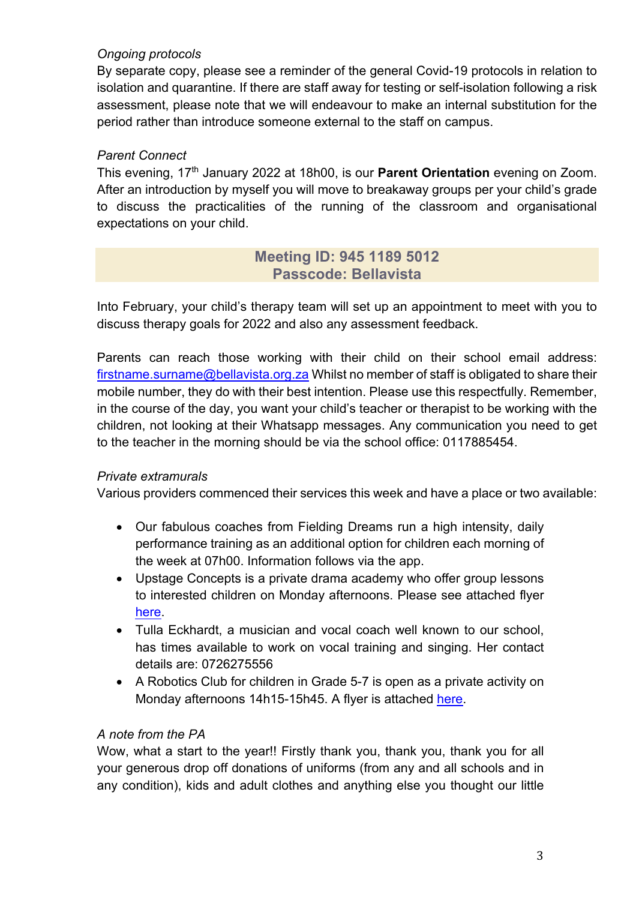# *Ongoing protocols*

By separate copy, please see a reminder of the general Covid-19 protocols in relation to isolation and quarantine. If there are staff away for testing or self-isolation following a risk assessment, please note that we will endeavour to make an internal substitution for the period rather than introduce someone external to the staff on campus.

# *Parent Connect*

This evening, 17th January 2022 at 18h00, is our **Parent Orientation** evening on Zoom. After an introduction by myself you will move to breakaway groups per your child's grade to discuss the practicalities of the running of the classroom and organisational expectations on your child.

# **Meeting ID: 945 1189 5012 Passcode: Bellavista**

Into February, your child's therapy team will set up an appointment to meet with you to discuss therapy goals for 2022 and also any assessment feedback.

Parents can reach those working with their child on their school email address: firstname.surname@bellavista.org.za Whilst no member of staff is obligated to share their mobile number, they do with their best intention. Please use this respectfully. Remember, in the course of the day, you want your child's teacher or therapist to be working with the children, not looking at their Whatsapp messages. Any communication you need to get to the teacher in the morning should be via the school office: 0117885454.

# *Private extramurals*

Various providers commenced their services this week and have a place or two available:

- Our fabulous coaches from Fielding Dreams run a high intensity, daily performance training as an additional option for children each morning of the week at 07h00. Information follows via the app.
- Upstage Concepts is a private drama academy who offer group lessons to interested children on Monday afternoons. Please see attached flyer [here.](https://drive.google.com/file/d/1U-FC3JDOe-B5t_7VX3nacyQmTOMfgOmc/view?usp=sharing)
- Tulla Eckhardt, a musician and vocal coach well known to our school, has times available to work on vocal training and singing. Her contact details are: 0726275556
- A Robotics Club for children in Grade 5-7 is open as a private activity on Monday afternoons 14h15-15h45. A flyer is attached [here.](https://drive.google.com/file/d/1U-FC3JDOe-B5t_7VX3nacyQmTOMfgOmc/view?usp=sharing)

# *A note from the PA*

Wow, what a start to the year!! Firstly thank you, thank you, thank you for all your generous drop off donations of uniforms (from any and all schools and in any condition), kids and adult clothes and anything else you thought our little